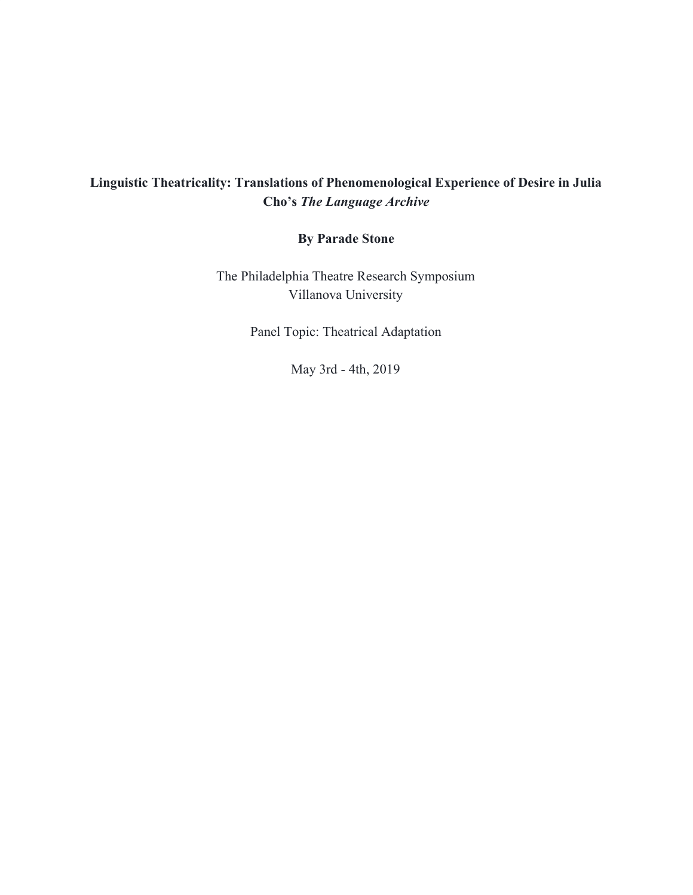## **Linguistic Theatricality: Translations of Phenomenological Experience of Desire in Julia Cho's** *The Language Archive*

## **By Parade Stone**

The Philadelphia Theatre Research Symposium Villanova University

Panel Topic: Theatrical Adaptation

May 3rd - 4th, 2019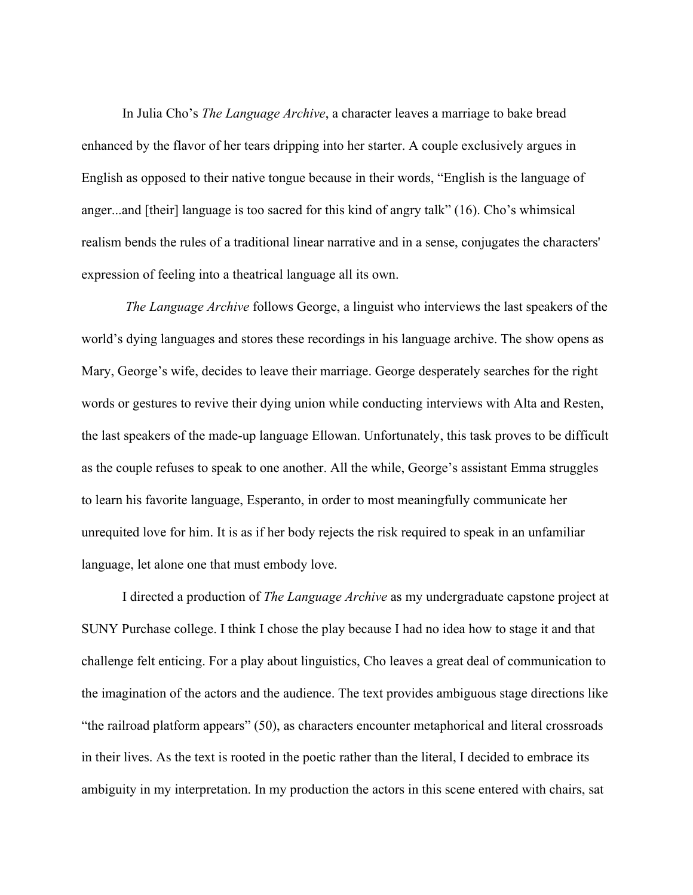In Julia Cho's *The Language Archive*, a character leaves a marriage to bake bread enhanced by the flavor of her tears dripping into her starter. A couple exclusively argues in English as opposed to their native tongue because in their words, "English is the language of anger...and [their] language is too sacred for this kind of angry talk" (16). Cho's whimsical realism bends the rules of a traditional linear narrative and in a sense, conjugates the characters' expression of feeling into a theatrical language all its own.

*The Language Archive* follows George, a linguist who interviews the last speakers of the world's dying languages and stores these recordings in his language archive. The show opens as Mary, George's wife, decides to leave their marriage. George desperately searches for the right words or gestures to revive their dying union while conducting interviews with Alta and Resten, the last speakers of the made-up language Ellowan. Unfortunately, this task proves to be difficult as the couple refuses to speak to one another. All the while, George's assistant Emma struggles to learn his favorite language, Esperanto, in order to most meaningfully communicate her unrequited love for him. It is as if her body rejects the risk required to speak in an unfamiliar language, let alone one that must embody love.

I directed a production of *The Language Archive* as my undergraduate capstone project at SUNY Purchase college. I think I chose the play because I had no idea how to stage it and that challenge felt enticing. For a play about linguistics, Cho leaves a great deal of communication to the imagination of the actors and the audience. The text provides ambiguous stage directions like "the railroad platform appears" (50), as characters encounter metaphorical and literal crossroads in their lives. As the text is rooted in the poetic rather than the literal, I decided to embrace its ambiguity in my interpretation. In my production the actors in this scene entered with chairs, sat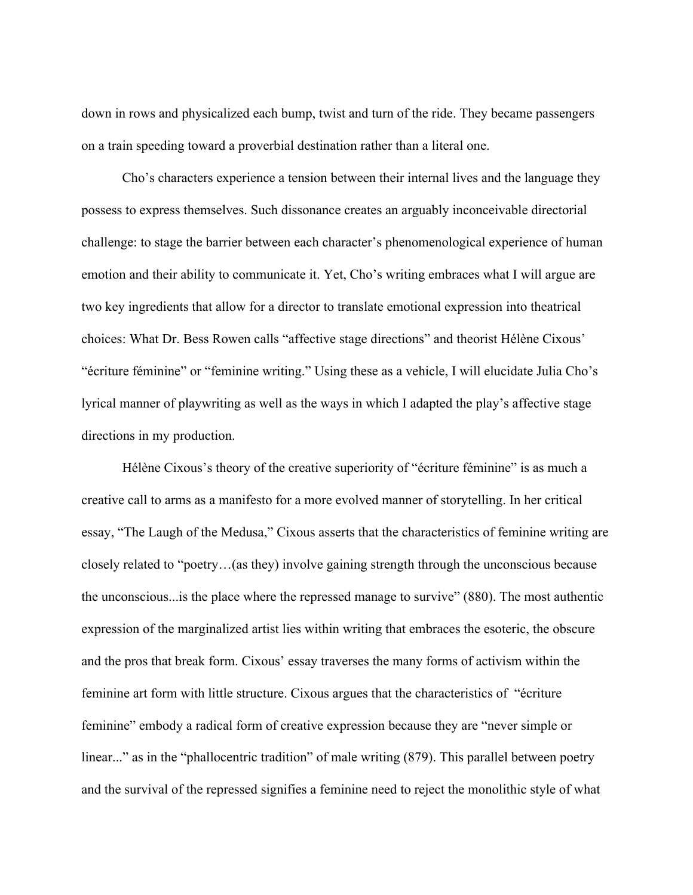down in rows and physicalized each bump, twist and turn of the ride. They became passengers on a train speeding toward a proverbial destination rather than a literal one.

Cho's characters experience a tension between their internal lives and the language they possess to express themselves. Such dissonance creates an arguably inconceivable directorial challenge: to stage the barrier between each character's phenomenological experience of human emotion and their ability to communicate it. Yet, Cho's writing embraces what I will argue are two key ingredients that allow for a director to translate emotional expression into theatrical choices: What Dr. Bess Rowen calls "affective stage directions" and theorist Hélène Cixous' "écriture féminine" or "feminine writing." Using these as a vehicle, I will elucidate Julia Cho's lyrical manner of playwriting as well as the ways in which I adapted the play's affective stage directions in my production.

Hélène Cixous's theory of the creative superiority of "écriture féminine" is as much a creative call to arms as a manifesto for a more evolved manner of storytelling. In her critical essay, "The Laugh of the Medusa," Cixous asserts that the characteristics of feminine writing are closely related to "poetry…(as they) involve gaining strength through the unconscious because the unconscious...is the place where the repressed manage to survive" (880). The most authentic expression of the marginalized artist lies within writing that embraces the esoteric, the obscure and the pros that break form. Cixous' essay traverses the many forms of activism within the feminine art form with little structure. Cixous argues that the characteristics of "écriture feminine" embody a radical form of creative expression because they are "never simple or linear..." as in the "phallocentric tradition" of male writing (879). This parallel between poetry and the survival of the repressed signifies a feminine need to reject the monolithic style of what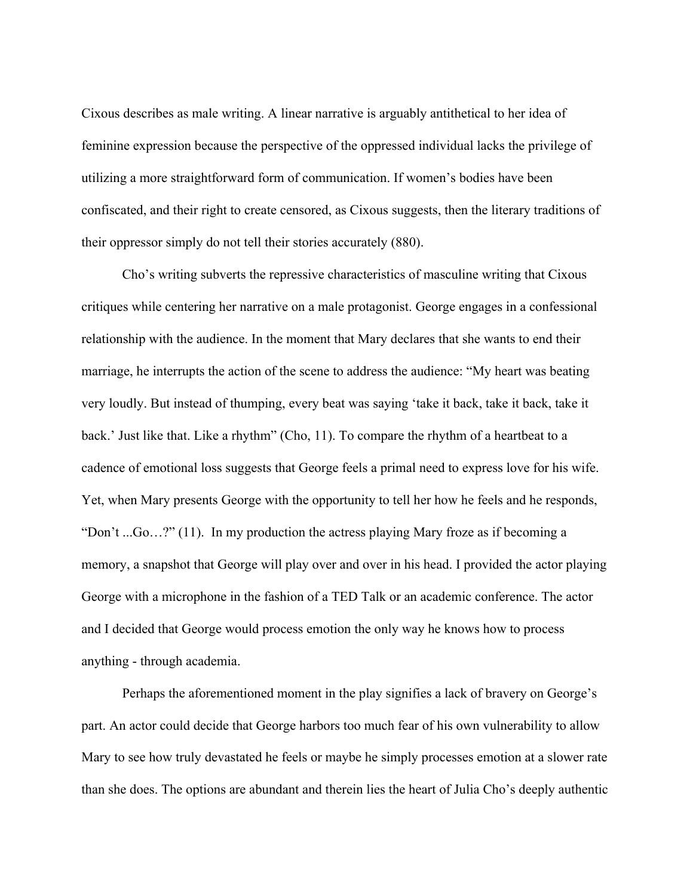Cixous describes as male writing. A linear narrative is arguably antithetical to her idea of feminine expression because the perspective of the oppressed individual lacks the privilege of utilizing a more straightforward form of communication. If women's bodies have been confiscated, and their right to create censored, as Cixous suggests, then the literary traditions of their oppressor simply do not tell their stories accurately (880).

Cho's writing subverts the repressive characteristics of masculine writing that Cixous critiques while centering her narrative on a male protagonist. George engages in a confessional relationship with the audience. In the moment that Mary declares that she wants to end their marriage, he interrupts the action of the scene to address the audience: "My heart was beating very loudly. But instead of thumping, every beat was saying 'take it back, take it back, take it back.' Just like that. Like a rhythm" (Cho, 11). To compare the rhythm of a heartbeat to a cadence of emotional loss suggests that George feels a primal need to express love for his wife. Yet, when Mary presents George with the opportunity to tell her how he feels and he responds, "Don't ...Go…?" (11). In my production the actress playing Mary froze as if becoming a memory, a snapshot that George will play over and over in his head. I provided the actor playing George with a microphone in the fashion of a TED Talk or an academic conference. The actor and I decided that George would process emotion the only way he knows how to process anything - through academia.

Perhaps the aforementioned moment in the play signifies a lack of bravery on George's part. An actor could decide that George harbors too much fear of his own vulnerability to allow Mary to see how truly devastated he feels or maybe he simply processes emotion at a slower rate than she does. The options are abundant and therein lies the heart of Julia Cho's deeply authentic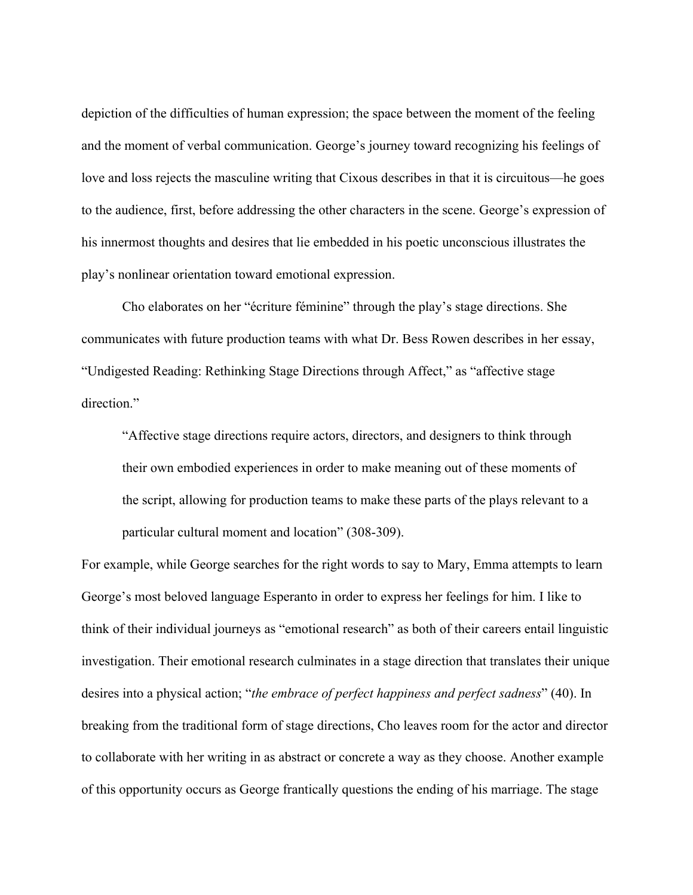depiction of the difficulties of human expression; the space between the moment of the feeling and the moment of verbal communication. George's journey toward recognizing his feelings of love and loss rejects the masculine writing that Cixous describes in that it is circuitous—he goes to the audience, first, before addressing the other characters in the scene. George's expression of his innermost thoughts and desires that lie embedded in his poetic unconscious illustrates the play's nonlinear orientation toward emotional expression.

Cho elaborates on her "écriture féminine" through the play's stage directions. She communicates with future production teams with what Dr. Bess Rowen describes in her essay, "Undigested Reading: Rethinking Stage Directions through Affect," as "affective stage direction."

"Affective stage directions require actors, directors, and designers to think through their own embodied experiences in order to make meaning out of these moments of the script, allowing for production teams to make these parts of the plays relevant to a particular cultural moment and location" (308-309).

For example, while George searches for the right words to say to Mary, Emma attempts to learn George's most beloved language Esperanto in order to express her feelings for him. I like to think of their individual journeys as "emotional research" as both of their careers entail linguistic investigation. Their emotional research culminates in a stage direction that translates their unique desires into a physical action; "*the embrace of perfect happiness and perfect sadness*" (40). In breaking from the traditional form of stage directions, Cho leaves room for the actor and director to collaborate with her writing in as abstract or concrete a way as they choose. Another example of this opportunity occurs as George frantically questions the ending of his marriage. The stage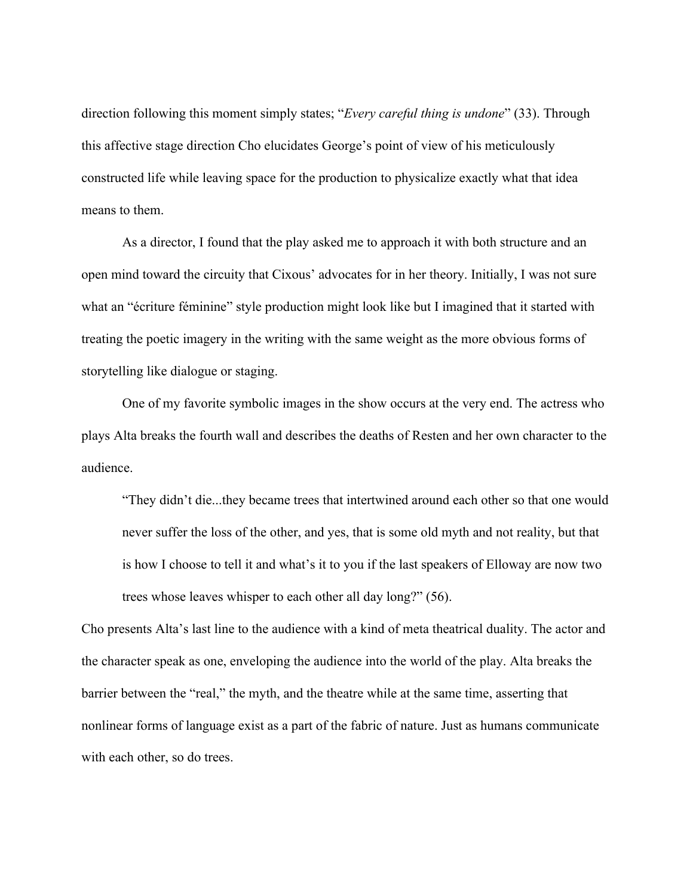direction following this moment simply states; "*Every careful thing is undone*" (33). Through this affective stage direction Cho elucidates George's point of view of his meticulously constructed life while leaving space for the production to physicalize exactly what that idea means to them.

As a director, I found that the play asked me to approach it with both structure and an open mind toward the circuity that Cixous' advocates for in her theory. Initially, I was not sure what an "écriture féminine" style production might look like but I imagined that it started with treating the poetic imagery in the writing with the same weight as the more obvious forms of storytelling like dialogue or staging.

One of my favorite symbolic images in the show occurs at the very end. The actress who plays Alta breaks the fourth wall and describes the deaths of Resten and her own character to the audience.

"They didn't die...they became trees that intertwined around each other so that one would never suffer the loss of the other, and yes, that is some old myth and not reality, but that is how I choose to tell it and what's it to you if the last speakers of Elloway are now two trees whose leaves whisper to each other all day long?" (56).

Cho presents Alta's last line to the audience with a kind of meta theatrical duality. The actor and the character speak as one, enveloping the audience into the world of the play. Alta breaks the barrier between the "real," the myth, and the theatre while at the same time, asserting that nonlinear forms of language exist as a part of the fabric of nature. Just as humans communicate with each other, so do trees.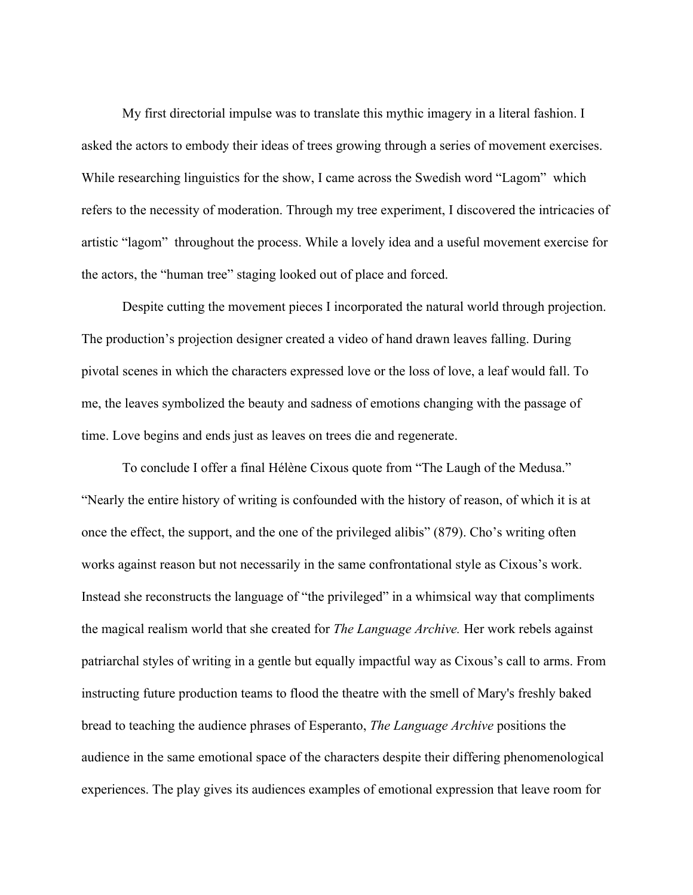My first directorial impulse was to translate this mythic imagery in a literal fashion. I asked the actors to embody their ideas of trees growing through a series of movement exercises. While researching linguistics for the show, I came across the Swedish word "Lagom" which refers to the necessity of moderation. Through my tree experiment, I discovered the intricacies of artistic "lagom" throughout the process. While a lovely idea and a useful movement exercise for the actors, the "human tree" staging looked out of place and forced.

Despite cutting the movement pieces I incorporated the natural world through projection. The production's projection designer created a video of hand drawn leaves falling. During pivotal scenes in which the characters expressed love or the loss of love, a leaf would fall. To me, the leaves symbolized the beauty and sadness of emotions changing with the passage of time. Love begins and ends just as leaves on trees die and regenerate.

To conclude I offer a final Hélène Cixous quote from "The Laugh of the Medusa." "Nearly the entire history of writing is confounded with the history of reason, of which it is at once the effect, the support, and the one of the privileged alibis" (879). Cho's writing often works against reason but not necessarily in the same confrontational style as Cixous's work. Instead she reconstructs the language of "the privileged" in a whimsical way that compliments the magical realism world that she created for *The Language Archive.* Her work rebels against patriarchal styles of writing in a gentle but equally impactful way as Cixous's call to arms. From instructing future production teams to flood the theatre with the smell of Mary's freshly baked bread to teaching the audience phrases of Esperanto, *The Language Archive* positions the audience in the same emotional space of the characters despite their differing phenomenological experiences. The play gives its audiences examples of emotional expression that leave room for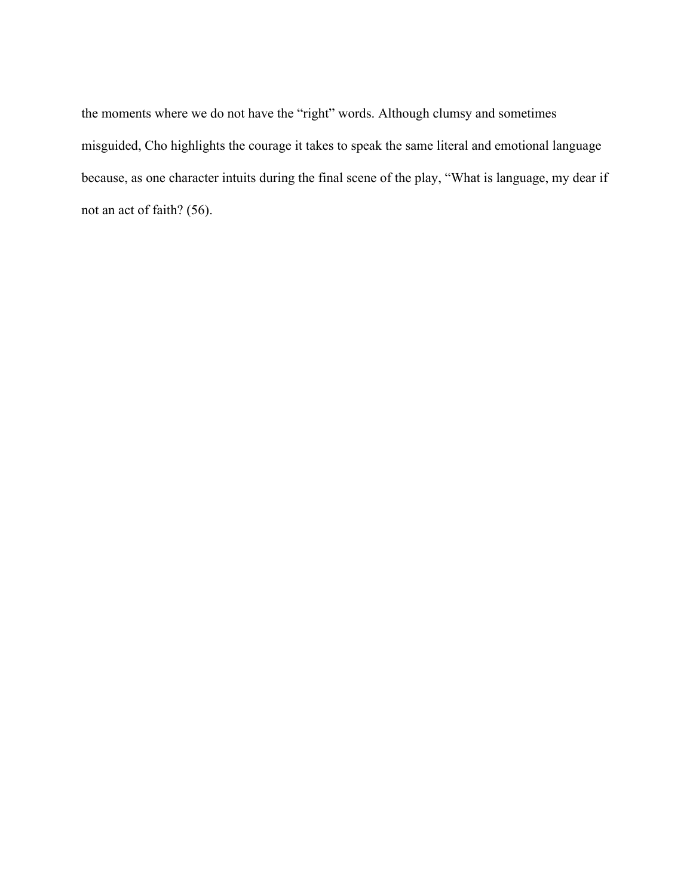the moments where we do not have the "right" words. Although clumsy and sometimes misguided, Cho highlights the courage it takes to speak the same literal and emotional language because, as one character intuits during the final scene of the play, "What is language, my dear if not an act of faith? (56).